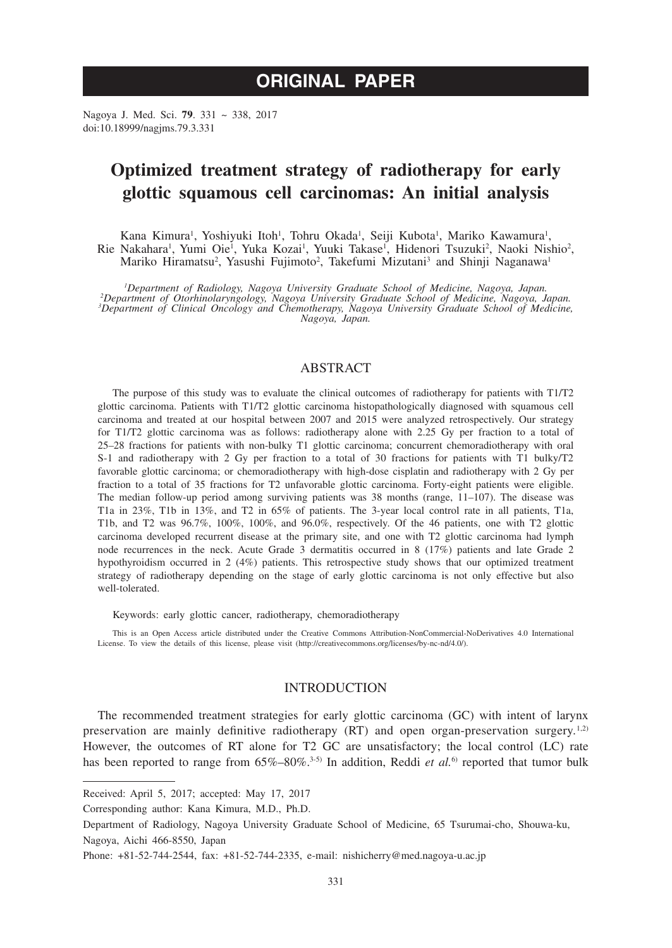# **ORIGINAL PAPER**

Nagoya J. Med. Sci. **79**. 331 ~ 338, 2017 doi:10.18999/nagjms.79.3.331

## **Optimized treatment strategy of radiotherapy for early glottic squamous cell carcinomas: An initial analysis**

Kana Kimura<sup>1</sup>, Yoshiyuki Itoh<sup>1</sup>, Tohru Okada<sup>1</sup>, Seiji Kubota<sup>1</sup>, Mariko Kawamura<sup>1</sup>, Rie Nakahara<sup>i</sup>, Yumi Oie<sup>i</sup>, Yuka Kozai<sup>i</sup>, Yuuki Takase<sup>i</sup>, Hidenori Tsuzuki<sup>2</sup>, Naoki Nishio<sup>2</sup>, Mariko Hiramatsu<sup>2</sup>, Yasushi Fujimoto<sup>2</sup>, Takefumi Mizutani<sup>3</sup> and Shinji Naganawa<sup>1</sup>

<sup>1</sup>Department of Radiology, Nagoya University Graduate School of Medicine, Nagoya, Japan. <sup>1</sup>Department of Radiology, Nagoya University Graduate School of Medicine, Nagoya, Japan.<br><sup>2</sup>Department of Otorhinolaryngology, Nagoya University Graduate School of Medicine, Nagoya, Japan.<br><sup>3</sup>Department of Clinical Oncolo *Nagoya, Japan.*

### ABSTRACT

The purpose of this study was to evaluate the clinical outcomes of radiotherapy for patients with T1/T2 glottic carcinoma. Patients with T1/T2 glottic carcinoma histopathologically diagnosed with squamous cell carcinoma and treated at our hospital between 2007 and 2015 were analyzed retrospectively. Our strategy for T1/T2 glottic carcinoma was as follows: radiotherapy alone with 2.25 Gy per fraction to a total of 25–28 fractions for patients with non-bulky T1 glottic carcinoma; concurrent chemoradiotherapy with oral S-1 and radiotherapy with 2 Gy per fraction to a total of 30 fractions for patients with T1 bulky/T2 favorable glottic carcinoma; or chemoradiotherapy with high-dose cisplatin and radiotherapy with 2 Gy per fraction to a total of 35 fractions for T2 unfavorable glottic carcinoma. Forty-eight patients were eligible. The median follow-up period among surviving patients was 38 months (range, 11–107). The disease was T1a in 23%, T1b in 13%, and T2 in 65% of patients. The 3-year local control rate in all patients, T1a, T1b, and T2 was 96.7%, 100%, 100%, and 96.0%, respectively. Of the 46 patients, one with T2 glottic carcinoma developed recurrent disease at the primary site, and one with T2 glottic carcinoma had lymph node recurrences in the neck. Acute Grade 3 dermatitis occurred in 8 (17%) patients and late Grade 2 hypothyroidism occurred in 2 (4%) patients. This retrospective study shows that our optimized treatment strategy of radiotherapy depending on the stage of early glottic carcinoma is not only effective but also well-tolerated.

Keywords: early glottic cancer, radiotherapy, chemoradiotherapy

This is an Open Access article distributed under the Creative Commons Attribution-NonCommercial-NoDerivatives 4.0 International License. To view the details of this license, please visit (http://creativecommons.org/licenses/by-nc-nd/4.0/).

### INTRODUCTION

The recommended treatment strategies for early glottic carcinoma (GC) with intent of larynx preservation are mainly definitive radiotherapy  $(RT)$  and open organ-preservation surgery.<sup>1,2)</sup> However, the outcomes of RT alone for T2 GC are unsatisfactory; the local control (LC) rate has been reported to range from  $65\% - 80\%$ <sup>3-5)</sup> In addition, Reddi *et al.*<sup>6)</sup> reported that tumor bulk

Received: April 5, 2017; accepted: May 17, 2017

Corresponding author: Kana Kimura, M.D., Ph.D.

Department of Radiology, Nagoya University Graduate School of Medicine, 65 Tsurumai-cho, Shouwa-ku, Nagoya, Aichi 466-8550, Japan

Phone: +81-52-744-2544, fax: +81-52-744-2335, e-mail: nishicherry@med.nagoya-u.ac.jp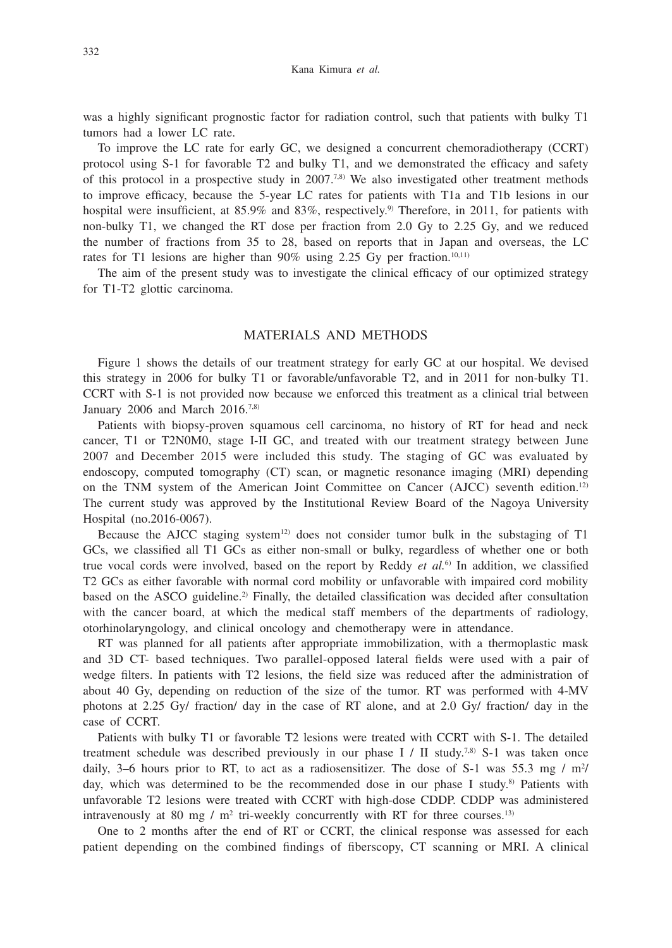was a highly significant prognostic factor for radiation control, such that patients with bulky T1 tumors had a lower LC rate.

To improve the LC rate for early GC, we designed a concurrent chemoradiotherapy (CCRT) protocol using S-1 for favorable T2 and bulky T1, and we demonstrated the efficacy and safety of this protocol in a prospective study in  $2007^{7,8}$ . We also investigated other treatment methods to improve efficacy, because the 5-year LC rates for patients with T1a and T1b lesions in our hospital were insufficient, at 85.9% and 83%, respectively.<sup>9)</sup> Therefore, in 2011, for patients with non-bulky T1, we changed the RT dose per fraction from 2.0 Gy to 2.25 Gy, and we reduced the number of fractions from 35 to 28, based on reports that in Japan and overseas, the LC rates for T1 lesions are higher than  $90\%$  using 2.25 Gy per fraction.<sup>10,11)</sup>

The aim of the present study was to investigate the clinical efficacy of our optimized strategy for T1-T2 glottic carcinoma.

### MATERIALS AND METHODS

Figure 1 shows the details of our treatment strategy for early GC at our hospital. We devised this strategy in 2006 for bulky T1 or favorable/unfavorable T2, and in 2011 for non-bulky T1. CCRT with S-1 is not provided now because we enforced this treatment as a clinical trial between January 2006 and March  $2016$ .<sup>7,8)</sup>

Patients with biopsy-proven squamous cell carcinoma, no history of RT for head and neck cancer, T1 or T2N0M0, stage I-II GC, and treated with our treatment strategy between June 2007 and December 2015 were included this study. The staging of GC was evaluated by endoscopy, computed tomography (CT) scan, or magnetic resonance imaging (MRI) depending on the TNM system of the American Joint Committee on Cancer (AJCC) seventh edition.12) The current study was approved by the Institutional Review Board of the Nagoya University Hospital (no.2016-0067).

Because the AJCC staging system<sup>12)</sup> does not consider tumor bulk in the substaging of  $T1$ GCs, we classified all T1 GCs as either non-small or bulky, regardless of whether one or both true vocal cords were involved, based on the report by Reddy *et al.*6) In addition, we classified T2 GCs as either favorable with normal cord mobility or unfavorable with impaired cord mobility based on the ASCO guideline.<sup>2)</sup> Finally, the detailed classification was decided after consultation with the cancer board, at which the medical staff members of the departments of radiology, otorhinolaryngology, and clinical oncology and chemotherapy were in attendance.

RT was planned for all patients after appropriate immobilization, with a thermoplastic mask and 3D CT- based techniques. Two parallel-opposed lateral fields were used with a pair of wedge filters. In patients with T2 lesions, the field size was reduced after the administration of about 40 Gy, depending on reduction of the size of the tumor. RT was performed with 4-MV photons at 2.25 Gy/ fraction/ day in the case of RT alone, and at 2.0 Gy/ fraction/ day in the case of CCRT.

Patients with bulky T1 or favorable T2 lesions were treated with CCRT with S-1. The detailed treatment schedule was described previously in our phase I / II study.<sup>7,8)</sup> S-1 was taken once daily, 3–6 hours prior to RT, to act as a radiosensitizer. The dose of S-1 was 55.3 mg /  $m<sup>2</sup>/$ day, which was determined to be the recommended dose in our phase I study.<sup>8)</sup> Patients with unfavorable T2 lesions were treated with CCRT with high-dose CDDP. CDDP was administered intravenously at 80 mg /  $m^2$  tri-weekly concurrently with RT for three courses.<sup>13)</sup>

One to 2 months after the end of RT or CCRT, the clinical response was assessed for each patient depending on the combined findings of fiberscopy, CT scanning or MRI. A clinical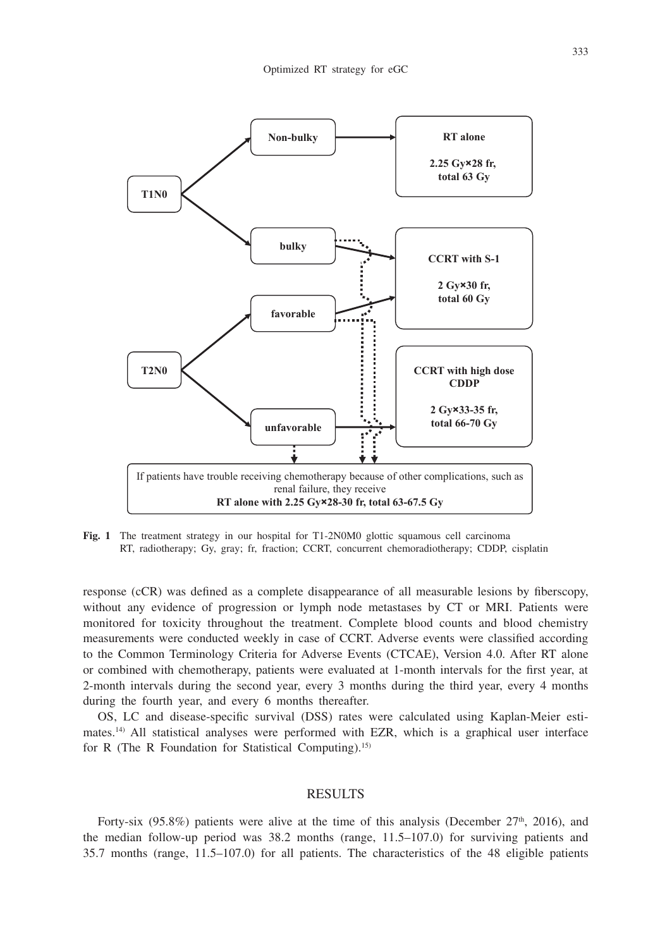

**Fig. 1** The treatment strategy in our hospital for T1-2N0M0 glottic squamous cell carcinoma RT, radiotherapy; Gy, gray; fr, fraction; CCRT, concurrent chemoradiotherapy; CDDP, cisplatin

response (cCR) was defined as a complete disappearance of all measurable lesions by fiberscopy, without any evidence of progression or lymph node metastases by CT or MRI. Patients were monitored for toxicity throughout the treatment. Complete blood counts and blood chemistry measurements were conducted weekly in case of CCRT. Adverse events were classified according to the Common Terminology Criteria for Adverse Events (CTCAE), Version 4.0. After RT alone or combined with chemotherapy, patients were evaluated at 1-month intervals for the first year, at 2-month intervals during the second year, every 3 months during the third year, every 4 months during the fourth year, and every 6 months thereafter.

OS, LC and disease-specific survival (DSS) rates were calculated using Kaplan-Meier estimates.14) All statistical analyses were performed with EZR, which is a graphical user interface for R (The R Foundation for Statistical Computing).15)

#### **RESULTS**

Forty-six (95.8%) patients were alive at the time of this analysis (December  $27<sup>th</sup>$ , 2016), and the median follow-up period was 38.2 months (range, 11.5–107.0) for surviving patients and 35.7 months (range, 11.5–107.0) for all patients. The characteristics of the 48 eligible patients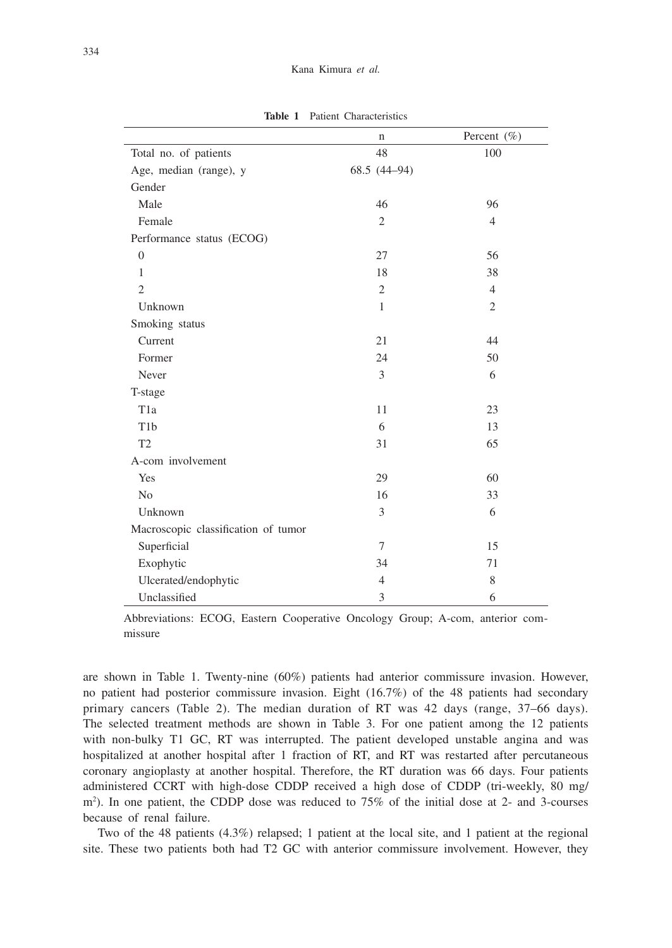**Table 1** Patient Characteristics

|                                     | n              | Percent (%)    |
|-------------------------------------|----------------|----------------|
| Total no. of patients               | 48             | 100            |
| Age, median (range), y              | 68.5 $(44-94)$ |                |
| Gender                              |                |                |
| Male                                | 46             | 96             |
| Female                              | $\overline{c}$ | $\overline{4}$ |
| Performance status (ECOG)           |                |                |
| $\overline{0}$                      | 27             | 56             |
| 1                                   | 18             | 38             |
| $\overline{2}$                      | $\overline{2}$ | $\overline{4}$ |
| Unknown                             | $\mathbf{1}$   | $\overline{2}$ |
| Smoking status                      |                |                |
| Current                             | 21             | 44             |
| Former                              | 24             | 50             |
| Never                               | 3              | 6              |
| T-stage                             |                |                |
| T <sub>1</sub> a                    | 11             | 23             |
| T <sub>1</sub> b                    | 6              | 13             |
| T <sub>2</sub>                      | 31             | 65             |
| A-com involvement                   |                |                |
| Yes                                 | 29             | 60             |
| N <sub>0</sub>                      | 16             | 33             |
| Unknown                             | 3              | 6              |
| Macroscopic classification of tumor |                |                |
| Superficial                         | $\overline{7}$ | 15             |
| Exophytic                           | 34             | 71             |
| Ulcerated/endophytic                | $\overline{4}$ | 8              |
| Unclassified                        | 3              | 6              |

Abbreviations: ECOG, Eastern Cooperative Oncology Group; A-com, anterior commissure

are shown in Table 1. Twenty-nine (60%) patients had anterior commissure invasion. However, no patient had posterior commissure invasion. Eight (16.7%) of the 48 patients had secondary primary cancers (Table 2). The median duration of RT was 42 days (range, 37–66 days). The selected treatment methods are shown in Table 3. For one patient among the 12 patients with non-bulky T1 GC, RT was interrupted. The patient developed unstable angina and was hospitalized at another hospital after 1 fraction of RT, and RT was restarted after percutaneous coronary angioplasty at another hospital. Therefore, the RT duration was 66 days. Four patients administered CCRT with high-dose CDDP received a high dose of CDDP (tri-weekly, 80 mg/ m2 ). In one patient, the CDDP dose was reduced to 75% of the initial dose at 2- and 3-courses because of renal failure.

Two of the 48 patients (4.3%) relapsed; 1 patient at the local site, and 1 patient at the regional site. These two patients both had T2 GC with anterior commissure involvement. However, they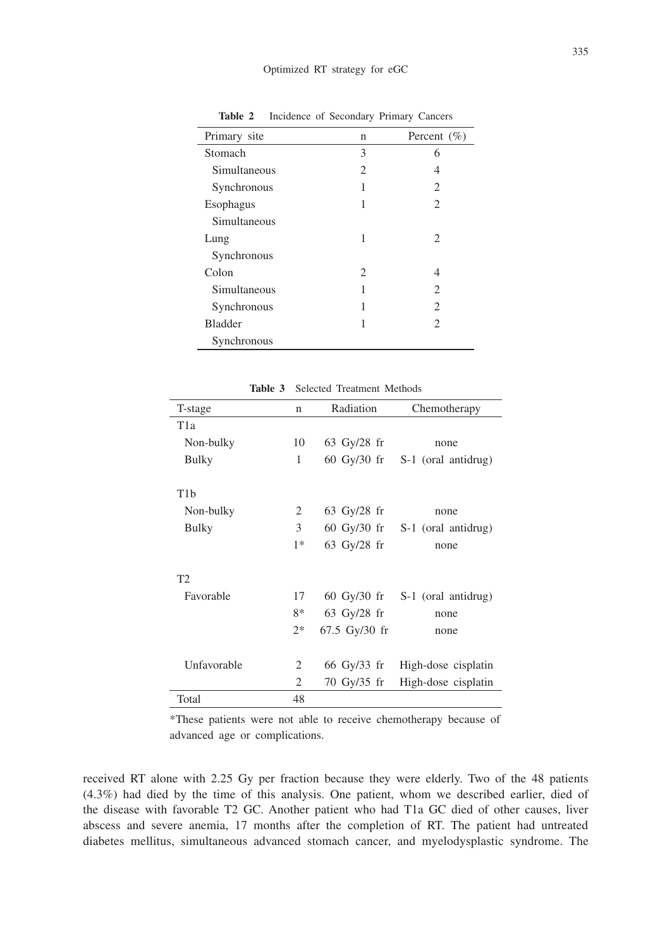| Primary site   | n              | Percent $(\% )$ |
|----------------|----------------|-----------------|
| Stomach        | 3              | 6               |
| Simultaneous   | $\overline{c}$ | 4               |
| Synchronous    | 1              | 2               |
| Esophagus      | 1              | 2               |
| Simultaneous   |                |                 |
| Lung           | 1              | $\overline{c}$  |
| Synchronous    |                |                 |
| Colon          | 2              | 4               |
| Simultaneous   | 1              | 2               |
| Synchronous    | 1              | 2               |
| <b>Bladder</b> |                | 2               |
| Synchronous    |                |                 |

**Table 2** Incidence of Secondary Primary Cancers

| T-stage          | n    | Radiation     | Chemotherapy                                      |
|------------------|------|---------------|---------------------------------------------------|
| T <sub>1</sub> a |      |               |                                                   |
| Non-bulky        | 10   | $63$ Gy/28 fr | none                                              |
| <b>Bulky</b>     | 1    | 60 Gy/30 fr   | S-1 (oral antidrug)                               |
|                  |      |               |                                                   |
| T <sub>1</sub> b |      |               |                                                   |
| Non-bulky        | 2    | 63 Gy/28 $fr$ | none                                              |
| <b>Bulky</b>     | 3    |               | $60 \text{ Gy}/30 \text{ fr}$ S-1 (oral antidrug) |
|                  | $1*$ | 63 Gy/28 fr   | none                                              |
|                  |      |               |                                                   |
| T2               |      |               |                                                   |
| Favorable        | 17   |               | $60 \text{ Gy}/30 \text{ fr}$ S-1 (oral antidrug) |
|                  | $8*$ | 63 Gy/28 $fr$ | none                                              |
|                  | $2*$ | 67.5 Gy/30 fr | none                                              |
|                  |      |               |                                                   |
| Unfavorable      | 2    | 66 Gy/33 fr   | High-dose cisplatin                               |
|                  | 2    | 70 Gy/35 fr   | High-dose cisplatin                               |
| Total            | 48   |               |                                                   |

**Table 3** Selected Treatment Methods

\*These patients were not able to receive chemotherapy because of advanced age or complications.

received RT alone with 2.25 Gy per fraction because they were elderly. Two of the 48 patients (4.3%) had died by the time of this analysis. One patient, whom we described earlier, died of the disease with favorable T2 GC. Another patient who had T1a GC died of other causes, liver abscess and severe anemia, 17 months after the completion of RT. The patient had untreated diabetes mellitus, simultaneous advanced stomach cancer, and myelodysplastic syndrome. The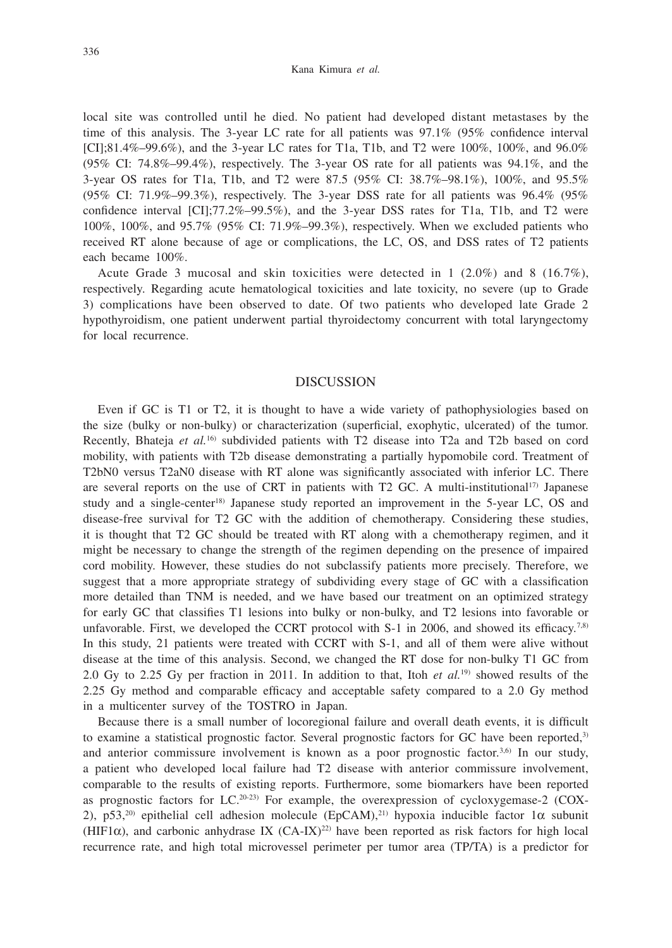local site was controlled until he died. No patient had developed distant metastases by the time of this analysis. The 3-year LC rate for all patients was 97.1% (95% confidence interval [CI];81.4%–99.6%), and the 3-year LC rates for T1a, T1b, and T2 were 100%, 100%, and 96.0% (95% CI: 74.8%–99.4%), respectively. The 3-year OS rate for all patients was 94.1%, and the 3-year OS rates for T1a, T1b, and T2 were 87.5 (95% CI: 38.7%–98.1%), 100%, and 95.5% (95% CI: 71.9%–99.3%), respectively. The 3-year DSS rate for all patients was  $96.4\%$  (95%) confidence interval [CI];77.2%–99.5%), and the 3-year DSS rates for T1a, T1b, and T2 were 100%, 100%, and 95.7% (95% CI: 71.9%–99.3%), respectively. When we excluded patients who received RT alone because of age or complications, the LC, OS, and DSS rates of T2 patients each became 100%.

Acute Grade 3 mucosal and skin toxicities were detected in  $1$  (2.0%) and 8 (16.7%), respectively. Regarding acute hematological toxicities and late toxicity, no severe (up to Grade 3) complications have been observed to date. Of two patients who developed late Grade 2 hypothyroidism, one patient underwent partial thyroidectomy concurrent with total laryngectomy for local recurrence.

#### DISCUSSION

Even if GC is T1 or T2, it is thought to have a wide variety of pathophysiologies based on the size (bulky or non-bulky) or characterization (superficial, exophytic, ulcerated) of the tumor. Recently, Bhateja *et al.*16) subdivided patients with T2 disease into T2a and T2b based on cord mobility, with patients with T2b disease demonstrating a partially hypomobile cord. Treatment of T2bN0 versus T2aN0 disease with RT alone was significantly associated with inferior LC. There are several reports on the use of CRT in patients with T2 GC. A multi-institutional<sup>17)</sup> Japanese study and a single-center<sup>18)</sup> Japanese study reported an improvement in the 5-year LC, OS and disease-free survival for T2 GC with the addition of chemotherapy. Considering these studies, it is thought that T2 GC should be treated with RT along with a chemotherapy regimen, and it might be necessary to change the strength of the regimen depending on the presence of impaired cord mobility. However, these studies do not subclassify patients more precisely. Therefore, we suggest that a more appropriate strategy of subdividing every stage of GC with a classification more detailed than TNM is needed, and we have based our treatment on an optimized strategy for early GC that classifies T1 lesions into bulky or non-bulky, and T2 lesions into favorable or unfavorable. First, we developed the CCRT protocol with  $S-1$  in 2006, and showed its efficacy.<sup>7,8)</sup> In this study, 21 patients were treated with CCRT with S-1, and all of them were alive without disease at the time of this analysis. Second, we changed the RT dose for non-bulky T1 GC from 2.0 Gy to 2.25 Gy per fraction in 2011. In addition to that, Itoh *et al.*19) showed results of the 2.25 Gy method and comparable efficacy and acceptable safety compared to a 2.0 Gy method in a multicenter survey of the TOSTRO in Japan.

Because there is a small number of locoregional failure and overall death events, it is difficult to examine a statistical prognostic factor. Several prognostic factors for GC have been reported,<sup>3)</sup> and anterior commissure involvement is known as a poor prognostic factor. $3.6$  In our study, a patient who developed local failure had T2 disease with anterior commissure involvement, comparable to the results of existing reports. Furthermore, some biomarkers have been reported as prognostic factors for  $LC^{(20-23)}$  For example, the overexpression of cycloxygemase-2 (COX-2), p53,<sup>20)</sup> epithelial cell adhesion molecule (EpCAM),<sup>21)</sup> hypoxia inducible factor 1α subunit (HIF1 $\alpha$ ), and carbonic anhydrase IX (CA-IX)<sup>22)</sup> have been reported as risk factors for high local recurrence rate, and high total microvessel perimeter per tumor area (TP/TA) is a predictor for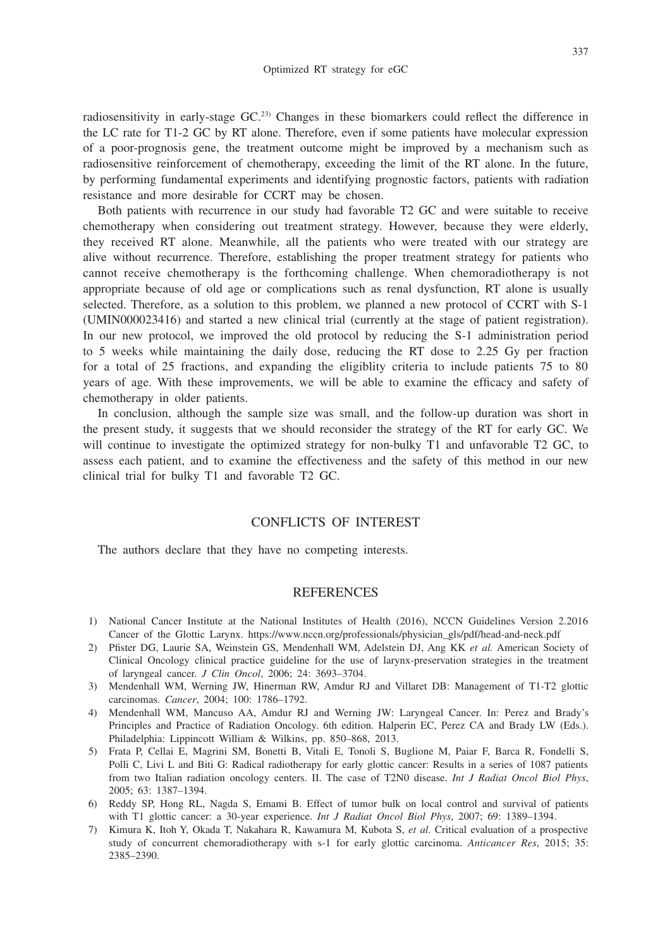radiosensitivity in early-stage GC.<sup>23)</sup> Changes in these biomarkers could reflect the difference in the LC rate for T1-2 GC by RT alone. Therefore, even if some patients have molecular expression of a poor-prognosis gene, the treatment outcome might be improved by a mechanism such as radiosensitive reinforcement of chemotherapy, exceeding the limit of the RT alone. In the future, by performing fundamental experiments and identifying prognostic factors, patients with radiation resistance and more desirable for CCRT may be chosen.

Both patients with recurrence in our study had favorable T2 GC and were suitable to receive chemotherapy when considering out treatment strategy. However, because they were elderly, they received RT alone. Meanwhile, all the patients who were treated with our strategy are alive without recurrence. Therefore, establishing the proper treatment strategy for patients who cannot receive chemotherapy is the forthcoming challenge. When chemoradiotherapy is not appropriate because of old age or complications such as renal dysfunction, RT alone is usually selected. Therefore, as a solution to this problem, we planned a new protocol of CCRT with S-1 (UMIN000023416) and started a new clinical trial (currently at the stage of patient registration). In our new protocol, we improved the old protocol by reducing the S-1 administration period to 5 weeks while maintaining the daily dose, reducing the RT dose to 2.25 Gy per fraction for a total of 25 fractions, and expanding the eligiblity criteria to include patients 75 to 80 years of age. With these improvements, we will be able to examine the efficacy and safety of chemotherapy in older patients.

In conclusion, although the sample size was small, and the follow-up duration was short in the present study, it suggests that we should reconsider the strategy of the RT for early GC. We will continue to investigate the optimized strategy for non-bulky T1 and unfavorable T2 GC, to assess each patient, and to examine the effectiveness and the safety of this method in our new clinical trial for bulky T1 and favorable T2 GC.

### CONFLICTS OF INTEREST

The authors declare that they have no competing interests.

#### **REFERENCES**

- 1) National Cancer Institute at the National Institutes of Health (2016), NCCN Guidelines Version 2.2016 Cancer of the Glottic Larynx. https://www.nccn.org/professionals/physician\_gls/pdf/head-and-neck.pdf
- 2) Pfister DG, Laurie SA, Weinstein GS, Mendenhall WM, Adelstein DJ, Ang KK *et al.* American Society of Clinical Oncology clinical practice guideline for the use of larynx-preservation strategies in the treatment of laryngeal cancer. *J Clin Oncol*, 2006; 24: 3693–3704.
- 3) Mendenhall WM, Werning JW, Hinerman RW, Amdur RJ and Villaret DB: Management of T1-T2 glottic carcinomas. *Cancer*, 2004; 100: 1786–1792.
- 4) Mendenhall WM, Mancuso AA, Amdur RJ and Werning JW: Laryngeal Cancer. In: Perez and Brady's Principles and Practice of Radiation Oncology. 6th edition. Halperin EC, Perez CA and Brady LW (Eds.). Philadelphia: Lippincott William & Wilkins, pp. 850–868, 2013.
- 5) Frata P, Cellai E, Magrini SM, Bonetti B, Vitali E, Tonoli S, Buglione M, Paiar F, Barca R, Fondelli S, Polli C, Livi L and Biti G: Radical radiotherapy for early glottic cancer: Results in a series of 1087 patients from two Italian radiation oncology centers. II. The case of T2N0 disease. *Int J Radiat Oncol Biol Phys*, 2005; 63: 1387–1394.
- 6) Reddy SP, Hong RL, Nagda S, Emami B. Effect of tumor bulk on local control and survival of patients with T1 glottic cancer: a 30-year experience. *Int J Radiat Oncol Biol Phys*, 2007; 69: 1389–1394.
- 7) Kimura K, Itoh Y, Okada T, Nakahara R, Kawamura M, Kubota S, *et al.* Critical evaluation of a prospective study of concurrent chemoradiotherapy with s-1 for early glottic carcinoma. *Anticancer Res*, 2015; 35: 2385–2390.